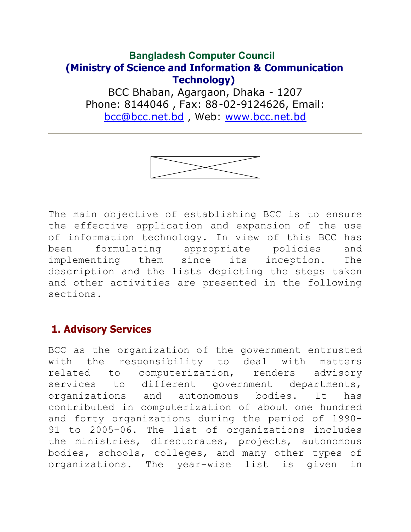# **Bangladesh Computer Council (Ministry of Science and Information & Communication Technology)**

BCC Bhaban, Agargaon, Dhaka - 1207 Phone: 8144046 , Fax: 88-02-9124626, Email: [bcc@bcc.net.bd](mailto:bcc@bcc.net.bd) , Web: [www.bcc.net.bd](http://www.bcc.net.bd)



The main objective of establishing BCC is to ensure the effective application and expansion of the use of information technology. In view of this BCC has been formulating appropriate policies and implementing them since its inception. The description and the lists depicting the steps taken and other activities are presented in the following sections.

## **1. Advisory Services**

BCC as the organization of the government entrusted with the responsibility to deal with matters related to computerization, renders advisory services to different government departments, organizations and autonomous bodies. It has contributed in computerization of about one hundred and forty organizations during the period of 1990- 91 to 2005-06. The list of organizations includes the ministries, directorates, projects, autonomous bodies, schools, colleges, and many other types of organizations. The year-wise list is given in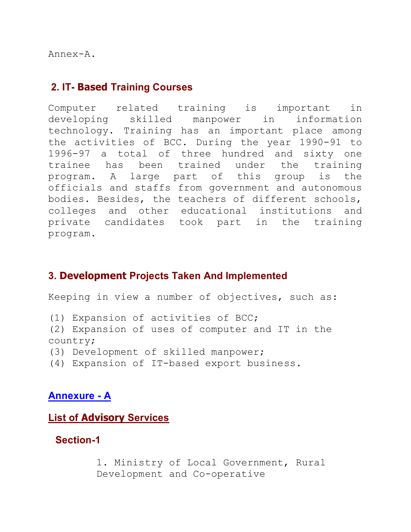Annex-A.

#### **2. IT- Based Training Courses**

Computer related training is important in developing skilled manpower in information technology. Training has an important place among the activities of BCC. During the year 1990-91 to 1996-97 a total of three hundred and sixty one trainee has been trained under the training program. A large part of this group is the officials and staffs from government and autonomous bodies. Besides, the teachers of different schools, colleges and other educational institutions and private candidates took part in the training program.

### **3. Development Projects Taken And Implemented**

Keeping in view a number of objectives, such as:

(1) Expansion of activities of BCC;

(2) Expansion of uses of computer and IT in the country;

(3) Development of skilled manpower;

(4) Expansion of IT-based export business.

#### **Annexure - A**

#### **List of Advisory Services**

#### **Section-1**

1. Ministry of Local Government, Rural Development and Co-operative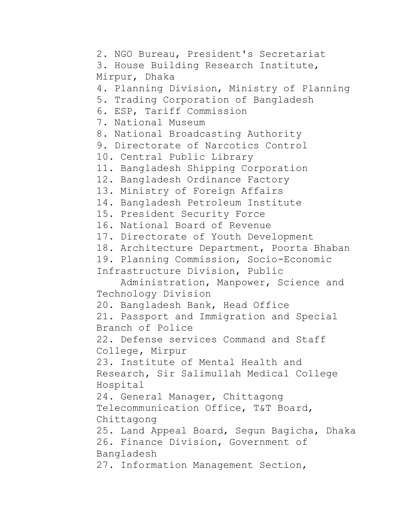2. NGO Bureau, President's Secretariat 3. House Building Research Institute, Mirpur, Dhaka 4. Planning Division, Ministry of Planning 5. Trading Corporation of Bangladesh 6. ESP, Tariff Commission 7. National Museum 8. National Broadcasting Authority 9. Directorate of Narcotics Control 10. Central Public Library 11. Bangladesh Shipping Corporation 12. Bangladesh Ordinance Factory 13. Ministry of Foreign Affairs 14. Bangladesh Petroleum Institute 15. President Security Force 16. National Board of Revenue 17. Directorate of Youth Development 18. Architecture Department, Poorta Bhaban 19. Planning Commission, Socio-Economic Infrastructure Division, Public Administration, Manpower, Science and Technology Division 20. Bangladesh Bank, Head Office 21. Passport and Immigration and Special Branch of Police 22. Defense services Command and Staff College, Mirpur 23. Institute of Mental Health and Research, Sir Salimullah Medical College Hospital 24. General Manager, Chittagong Telecommunication Office, T&T Board, Chittagong 25. Land Appeal Board, Segun Bagicha, Dhaka 26. Finance Division, Government of Bangladesh 27. Information Management Section,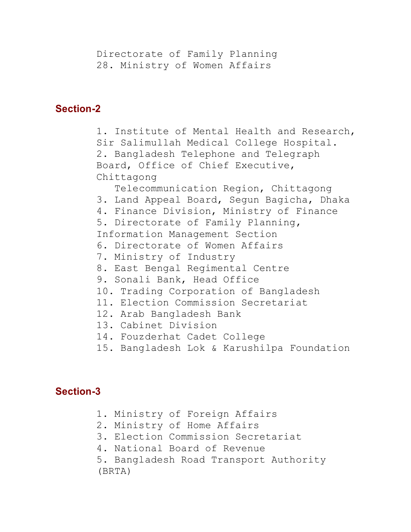Directorate of Family Planning 28. Ministry of Women Affairs

### **Section-2**

1. Institute of Mental Health and Research, Sir Salimullah Medical College Hospital. 2. Bangladesh Telephone and Telegraph Board, Office of Chief Executive, Chittagong Telecommunication Region, Chittagong 3. Land Appeal Board, Segun Bagicha, Dhaka 4. Finance Division, Ministry of Finance 5. Directorate of Family Planning, Information Management Section 6. Directorate of Women Affairs 7. Ministry of Industry 8. East Bengal Regimental Centre 9. Sonali Bank, Head Office 10. Trading Corporation of Bangladesh 11. Election Commission Secretariat 12. Arab Bangladesh Bank 13. Cabinet Division 14. Fouzderhat Cadet College 15. Bangladesh Lok & Karushilpa Foundation

## **Section-3**

- 1. Ministry of Foreign Affairs 2. Ministry of Home Affairs
- 3. Election Commission Secretariat
- 4. National Board of Revenue
- 5. Bangladesh Road Transport Authority (BRTA)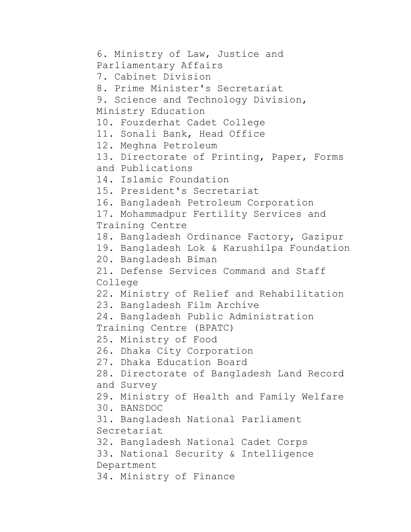```
6. Ministry of Law, Justice and 
Parliamentary Affairs
7. Cabinet Division
8. Prime Minister's Secretariat
9. Science and Technology Division, 
Ministry Education
10. Fouzderhat Cadet College
11. Sonali Bank, Head Office
12. Meghna Petroleum
13. Directorate of Printing, Paper, Forms 
and Publications
14. Islamic Foundation
15. President's Secretariat
16. Bangladesh Petroleum Corporation
17. Mohammadpur Fertility Services and 
Training Centre
18. Bangladesh Ordinance Factory, Gazipur
19. Bangladesh Lok & Karushilpa Foundation
20. Bangladesh Biman
21. Defense Services Command and Staff 
College
22. Ministry of Relief and Rehabilitation
23. Bangladesh Film Archive
24. Bangladesh Public Administration 
Training Centre (BPATC)
25. Ministry of Food
26. Dhaka City Corporation
27. Dhaka Education Board
28. Directorate of Bangladesh Land Record 
and Survey
29. Ministry of Health and Family Welfare
30. BANSDOC
31. Bangladesh National Parliament 
Secretariat
32. Bangladesh National Cadet Corps
33. National Security & Intelligence 
Department
34. Ministry of Finance
```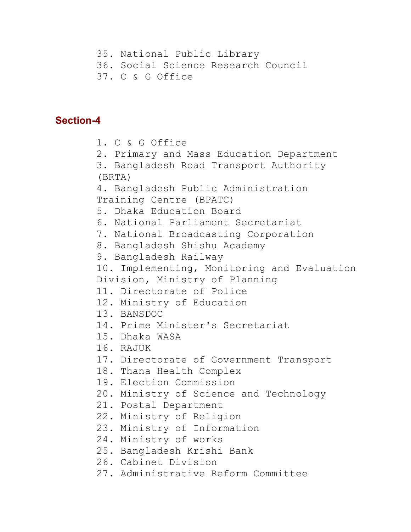- 35. National Public Library
- 36. Social Science Research Council
- 37. C & G Office

#### **Section-4**

```
1. C & G Office
2. Primary and Mass Education Department
3. Bangladesh Road Transport Authority 
(BRTA)
4. Bangladesh Public Administration 
Training Centre (BPATC)
5. Dhaka Education Board
6. National Parliament Secretariat
7. National Broadcasting Corporation
8. Bangladesh Shishu Academy
9. Bangladesh Railway
10. Implementing, Monitoring and Evaluation 
Division, Ministry of Planning
11. Directorate of Police
12. Ministry of Education
13. BANSDOC 
14. Prime Minister's Secretariat
15. Dhaka WASA
16. RAJUK
17. Directorate of Government Transport
18. Thana Health Complex
19. Election Commission
20. Ministry of Science and Technology
21. Postal Department
22. Ministry of Religion
23. Ministry of Information
24. Ministry of works
25. Bangladesh Krishi Bank
26. Cabinet Division
27. Administrative Reform Committee
```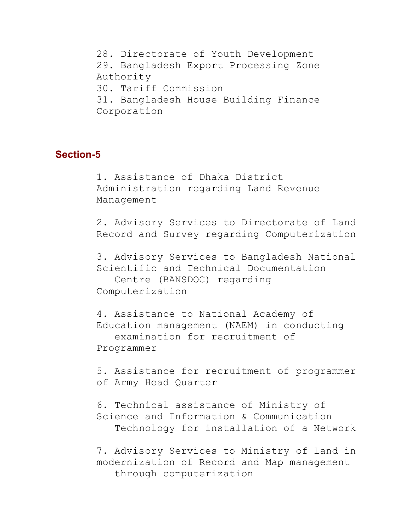28. Directorate of Youth Development 29. Bangladesh Export Processing Zone Authority 30. Tariff Commission 31. Bangladesh House Building Finance Corporation

#### **Section-5**

1. Assistance of Dhaka District Administration regarding Land Revenue Management

2. Advisory Services to Directorate of Land Record and Survey regarding Computerization

3. Advisory Services to Bangladesh National Scientific and Technical Documentation

 Centre (BANSDOC) regarding Computerization

4. Assistance to National Academy of Education management (NAEM) in conducting examination for recruitment of Programmer

5. Assistance for recruitment of programmer of Army Head Quarter

6. Technical assistance of Ministry of Science and Information & Communication Technology for installation of a Network

7. Advisory Services to Ministry of Land in modernization of Record and Map management through computerization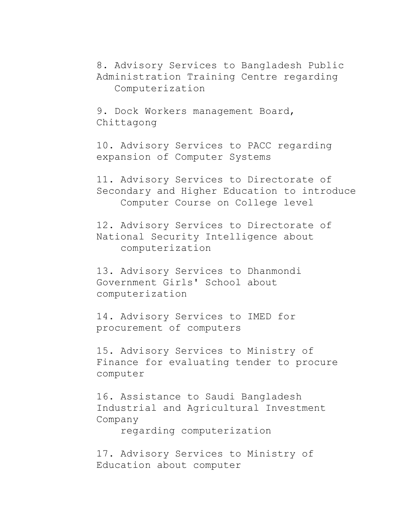8. Advisory Services to Bangladesh Public Administration Training Centre regarding Computerization

9. Dock Workers management Board, Chittagong

10. Advisory Services to PACC regarding expansion of Computer Systems

11. Advisory Services to Directorate of Secondary and Higher Education to introduce Computer Course on College level

12. Advisory Services to Directorate of National Security Intelligence about computerization

13. Advisory Services to Dhanmondi Government Girls' School about computerization

14. Advisory Services to IMED for procurement of computers

15. Advisory Services to Ministry of Finance for evaluating tender to procure computer

16. Assistance to Saudi Bangladesh Industrial and Agricultural Investment Company

regarding computerization

17. Advisory Services to Ministry of Education about computer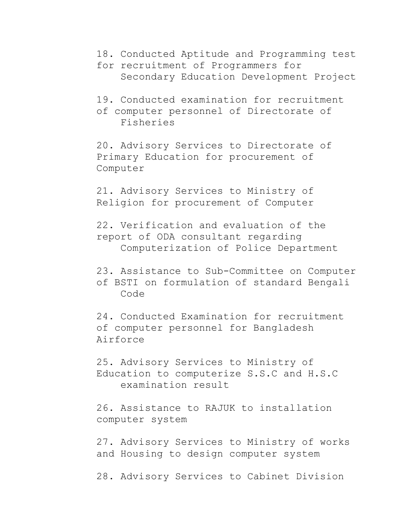- 18. Conducted Aptitude and Programming test
- for recruitment of Programmers for Secondary Education Development Project
- 19. Conducted examination for recruitment
- of computer personnel of Directorate of Fisheries

20. Advisory Services to Directorate of Primary Education for procurement of Computer

21. Advisory Services to Ministry of Religion for procurement of Computer

22. Verification and evaluation of the report of ODA consultant regarding Computerization of Police Department

23. Assistance to Sub-Committee on Computer of BSTI on formulation of standard Bengali Code

24. Conducted Examination for recruitment of computer personnel for Bangladesh Airforce

25. Advisory Services to Ministry of Education to computerize S.S.C and H.S.C examination result

26. Assistance to RAJUK to installation computer system

27. Advisory Services to Ministry of works and Housing to design computer system

28. Advisory Services to Cabinet Division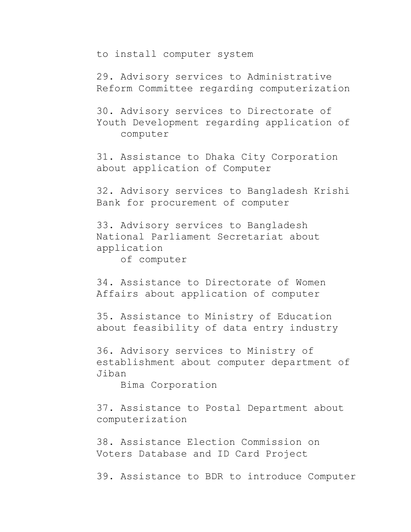to install computer system

29. Advisory services to Administrative Reform Committee regarding computerization

30. Advisory services to Directorate of Youth Development regarding application of computer

31. Assistance to Dhaka City Corporation about application of Computer

32. Advisory services to Bangladesh Krishi Bank for procurement of computer

33. Advisory services to Bangladesh National Parliament Secretariat about application

of computer

34. Assistance to Directorate of Women Affairs about application of computer

35. Assistance to Ministry of Education about feasibility of data entry industry

36. Advisory services to Ministry of establishment about computer department of Jiban

Bima Corporation

37. Assistance to Postal Department about computerization

38. Assistance Election Commission on Voters Database and ID Card Project

39. Assistance to BDR to introduce Computer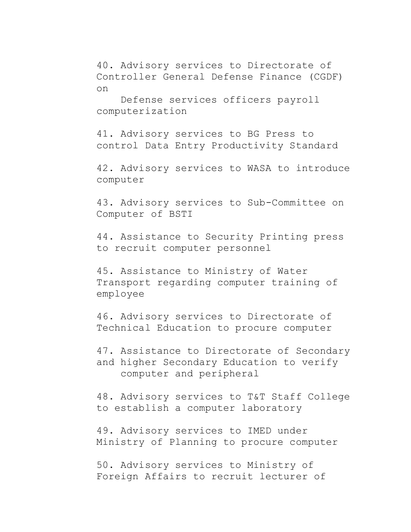40. Advisory services to Directorate of Controller General Defense Finance (CGDF) on

 Defense services officers payroll computerization

41. Advisory services to BG Press to control Data Entry Productivity Standard

42. Advisory services to WASA to introduce computer

43. Advisory services to Sub-Committee on Computer of BSTI

44. Assistance to Security Printing press to recruit computer personnel

45. Assistance to Ministry of Water Transport regarding computer training of employee

46. Advisory services to Directorate of Technical Education to procure computer

47. Assistance to Directorate of Secondary and higher Secondary Education to verify computer and peripheral

48. Advisory services to T&T Staff College to establish a computer laboratory

49. Advisory services to IMED under Ministry of Planning to procure computer

50. Advisory services to Ministry of Foreign Affairs to recruit lecturer of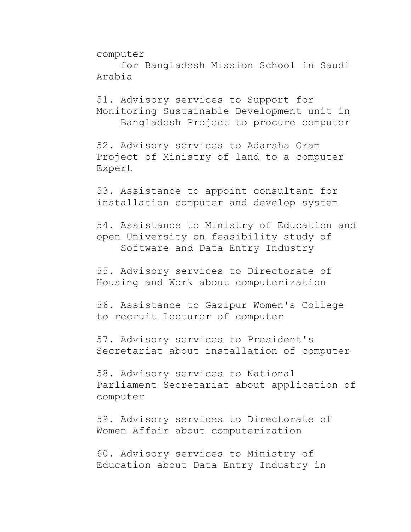computer

 for Bangladesh Mission School in Saudi Arabia

51. Advisory services to Support for Monitoring Sustainable Development unit in Bangladesh Project to procure computer

52. Advisory services to Adarsha Gram Project of Ministry of land to a computer Expert

53. Assistance to appoint consultant for installation computer and develop system

54. Assistance to Ministry of Education and open University on feasibility study of Software and Data Entry Industry

55. Advisory services to Directorate of Housing and Work about computerization

56. Assistance to Gazipur Women's College to recruit Lecturer of computer

57. Advisory services to President's Secretariat about installation of computer

58. Advisory services to National Parliament Secretariat about application of computer

59. Advisory services to Directorate of Women Affair about computerization

60. Advisory services to Ministry of Education about Data Entry Industry in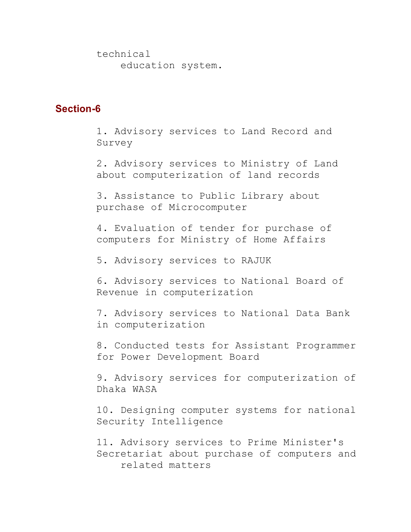technical education system.

#### **Section-6**

1. Advisory services to Land Record and Survey

2. Advisory services to Ministry of Land about computerization of land records

3. Assistance to Public Library about purchase of Microcomputer

4. Evaluation of tender for purchase of computers for Ministry of Home Affairs

5. Advisory services to RAJUK

6. Advisory services to National Board of Revenue in computerization

7. Advisory services to National Data Bank in computerization

8. Conducted tests for Assistant Programmer for Power Development Board

9. Advisory services for computerization of Dhaka WASA

10. Designing computer systems for national Security Intelligence

11. Advisory services to Prime Minister's Secretariat about purchase of computers and related matters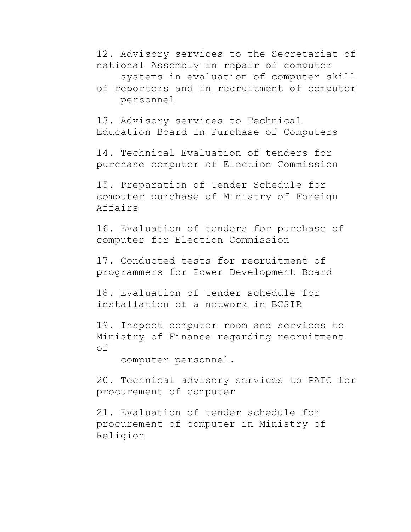12. Advisory services to the Secretariat of national Assembly in repair of computer

systems in evaluation of computer skill

of reporters and in recruitment of computer personnel

13. Advisory services to Technical Education Board in Purchase of Computers

14. Technical Evaluation of tenders for purchase computer of Election Commission

15. Preparation of Tender Schedule for computer purchase of Ministry of Foreign Affairs

16. Evaluation of tenders for purchase of computer for Election Commission

17. Conducted tests for recruitment of programmers for Power Development Board

18. Evaluation of tender schedule for installation of a network in BCSIR

19. Inspect computer room and services to Ministry of Finance regarding recruitment of

computer personnel.

20. Technical advisory services to PATC for procurement of computer

21. Evaluation of tender schedule for procurement of computer in Ministry of Religion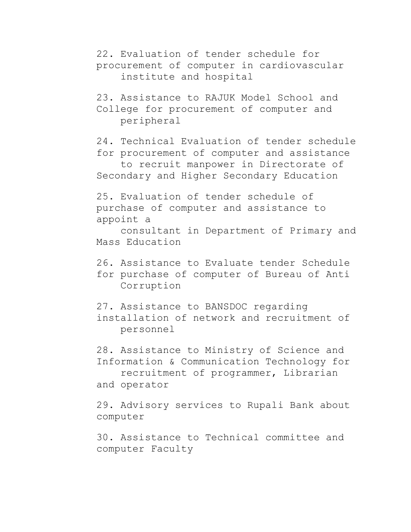22. Evaluation of tender schedule for procurement of computer in cardiovascular institute and hospital

23. Assistance to RAJUK Model School and College for procurement of computer and peripheral

24. Technical Evaluation of tender schedule for procurement of computer and assistance to recruit manpower in Directorate of Secondary and Higher Secondary Education

25. Evaluation of tender schedule of purchase of computer and assistance to appoint a

 consultant in Department of Primary and Mass Education

- 26. Assistance to Evaluate tender Schedule for purchase of computer of Bureau of Anti Corruption
- 27. Assistance to BANSDOC regarding installation of network and recruitment of personnel

28. Assistance to Ministry of Science and Information & Communication Technology for recruitment of programmer, Librarian and operator

29. Advisory services to Rupali Bank about computer

30. Assistance to Technical committee and computer Faculty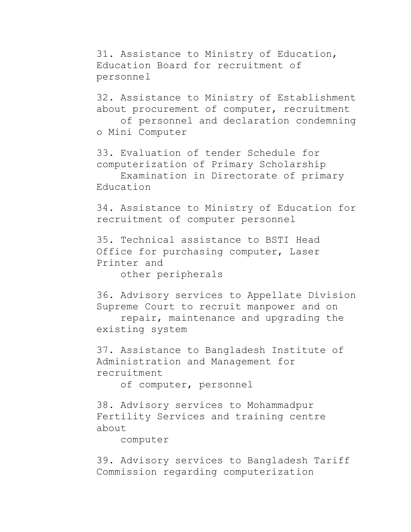31. Assistance to Ministry of Education, Education Board for recruitment of personnel

32. Assistance to Ministry of Establishment about procurement of computer, recruitment of personnel and declaration condemning

o Mini Computer

33. Evaluation of tender Schedule for computerization of Primary Scholarship Examination in Directorate of primary

Education

34. Assistance to Ministry of Education for recruitment of computer personnel

35. Technical assistance to BSTI Head Office for purchasing computer, Laser Printer and

other peripherals

36. Advisory services to Appellate Division Supreme Court to recruit manpower and on

 repair, maintenance and upgrading the existing system

37. Assistance to Bangladesh Institute of Administration and Management for recruitment

of computer, personnel

38. Advisory services to Mohammadpur Fertility Services and training centre about

computer

39. Advisory services to Bangladesh Tariff Commission regarding computerization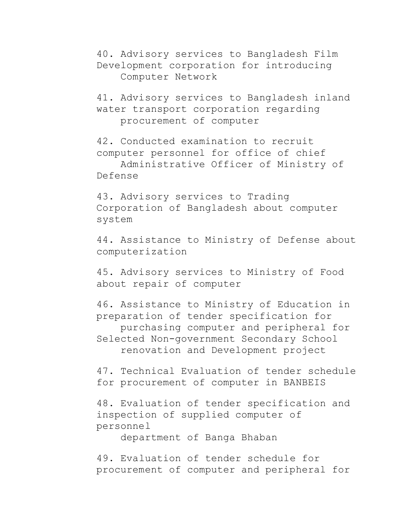40. Advisory services to Bangladesh Film Development corporation for introducing Computer Network

41. Advisory services to Bangladesh inland water transport corporation regarding procurement of computer

42. Conducted examination to recruit computer personnel for office of chief Administrative Officer of Ministry of Defense

43. Advisory services to Trading Corporation of Bangladesh about computer system

44. Assistance to Ministry of Defense about computerization

45. Advisory services to Ministry of Food about repair of computer

46. Assistance to Ministry of Education in preparation of tender specification for purchasing computer and peripheral for Selected Non-government Secondary School renovation and Development project

47. Technical Evaluation of tender schedule for procurement of computer in BANBEIS

48. Evaluation of tender specification and inspection of supplied computer of personnel

department of Banga Bhaban

49. Evaluation of tender schedule for procurement of computer and peripheral for